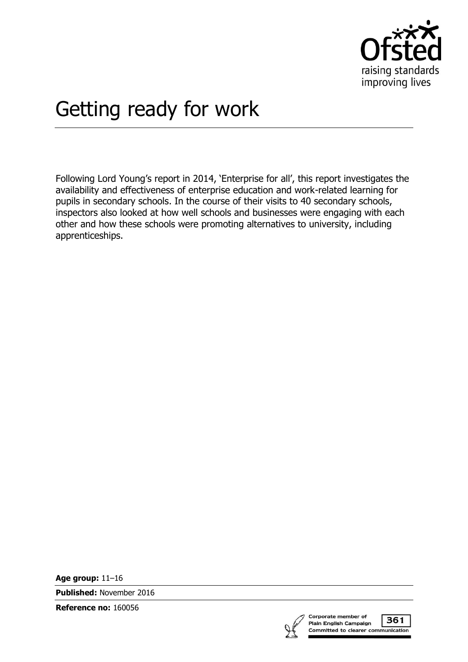

# Getting ready for work

Following Lord Young's report in 2014, 'Enterprise for all', this report investigates the availability and effectiveness of enterprise education and work-related learning for pupils in secondary schools. In the course of their visits to 40 secondary schools, inspectors also looked at how well schools and businesses were engaging with each other and how these schools were promoting alternatives to university, including apprenticeships.

**Age group:** 11–16

**Published:** November 2016

**Reference no:** 160056



361 Committed to clearer communication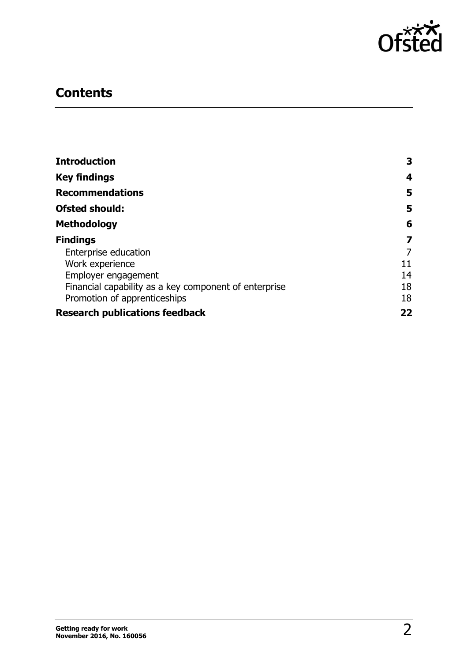

# **Contents**

| <b>Introduction</b>                                   | 3  |
|-------------------------------------------------------|----|
| <b>Key findings</b>                                   | 4  |
| <b>Recommendations</b>                                | 5  |
| <b>Ofsted should:</b>                                 | 5  |
| <b>Methodology</b>                                    | 6  |
| <b>Findings</b>                                       | 7  |
| Enterprise education                                  | 7  |
| Work experience                                       | 11 |
| Employer engagement                                   | 14 |
| Financial capability as a key component of enterprise | 18 |
| Promotion of apprenticeships                          | 18 |
| <b>Research publications feedback</b>                 | 22 |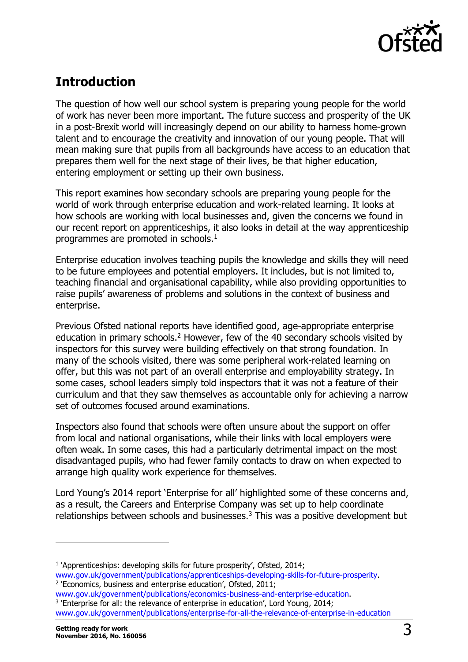

# <span id="page-2-0"></span>**Introduction**

The question of how well our school system is preparing young people for the world of work has never been more important. The future success and prosperity of the UK in a post-Brexit world will increasingly depend on our ability to harness home-grown talent and to encourage the creativity and innovation of our young people. That will mean making sure that pupils from all backgrounds have access to an education that prepares them well for the next stage of their lives, be that higher education, entering employment or setting up their own business.

This report examines how secondary schools are preparing young people for the world of work through enterprise education and work-related learning. It looks at how schools are working with local businesses and, given the concerns we found in our recent report on apprenticeships, it also looks in detail at the way apprenticeship programmes are promoted in schools.<sup>1</sup>

Enterprise education involves teaching pupils the knowledge and skills they will need to be future employees and potential employers. It includes, but is not limited to, teaching financial and organisational capability, while also providing opportunities to raise pupils' awareness of problems and solutions in the context of business and enterprise.

Previous Ofsted national reports have identified good, age-appropriate enterprise education in primary schools.<sup>2</sup> However, few of the 40 secondary schools visited by inspectors for this survey were building effectively on that strong foundation. In many of the schools visited, there was some peripheral work-related learning on offer, but this was not part of an overall enterprise and employability strategy. In some cases, school leaders simply told inspectors that it was not a feature of their curriculum and that they saw themselves as accountable only for achieving a narrow set of outcomes focused around examinations.

Inspectors also found that schools were often unsure about the support on offer from local and national organisations, while their links with local employers were often weak. In some cases, this had a particularly detrimental impact on the most disadvantaged pupils, who had fewer family contacts to draw on when expected to arrange high quality work experience for themselves.

Lord Young's 2014 report 'Enterprise for all' highlighted some of these concerns and, as a result, the Careers and Enterprise Company was set up to help coordinate relationships between schools and businesses.<sup>3</sup> This was a positive development but

[www.gov.uk/government/publications/economics-business-and-enterprise-education.](https://www.gov.uk/government/publications/economics-business-and-enterprise-education) <sup>3</sup> 'Enterprise for all: the relevance of enterprise in education', Lord Young, 2014; [www.gov.uk/government/publications/enterprise-for-all-the-relevance-of-enterprise-in-education](https://www.gov.uk/government/publications/enterprise-for-all-the-relevance-of-enterprise-in-education)

j

<sup>&</sup>lt;sup>1</sup> 'Apprenticeships: developing skills for future prosperity', Ofsted, 2014; [www.gov.uk/government/publications/apprenticeships-developing-skills-for-future-prosperity.](https://www.gov.uk/government/publications/apprenticeships-developing-skills-for-future-prosperity) <sup>2</sup> 'Economics, business and enterprise education', Ofsted, 2011;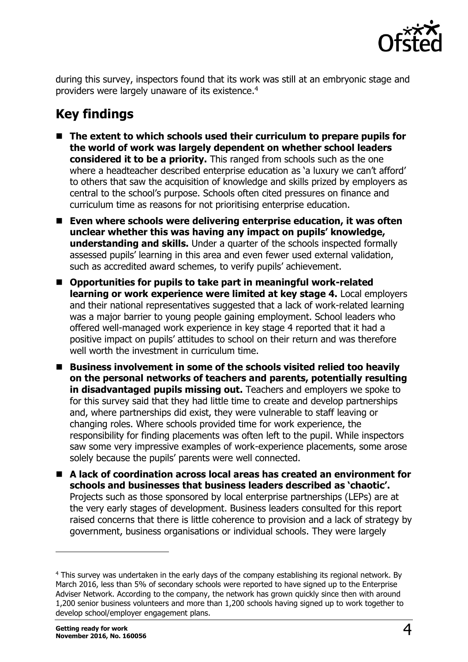

during this survey, inspectors found that its work was still at an embryonic stage and providers were largely unaware of its existence. 4

# <span id="page-3-0"></span>**Key findings**

- The extent to which schools used their curriculum to prepare pupils for **the world of work was largely dependent on whether school leaders considered it to be a priority.** This ranged from schools such as the one where a headteacher described enterprise education as 'a luxury we can't afford' to others that saw the acquisition of knowledge and skills prized by employers as central to the school's purpose. Schools often cited pressures on finance and curriculum time as reasons for not prioritising enterprise education.
- Even where schools were delivering enterprise education, it was often **unclear whether this was having any impact on pupils' knowledge, understanding and skills.** Under a quarter of the schools inspected formally assessed pupils' learning in this area and even fewer used external validation, such as accredited award schemes, to verify pupils' achievement.
- Opportunities for pupils to take part in meaningful work-related **learning or work experience were limited at key stage 4.** Local employers and their national representatives suggested that a lack of work-related learning was a major barrier to young people gaining employment. School leaders who offered well-managed work experience in key stage 4 reported that it had a positive impact on pupils' attitudes to school on their return and was therefore well worth the investment in curriculum time.
- Business involvement in some of the schools visited relied too heavily **on the personal networks of teachers and parents, potentially resulting in disadvantaged pupils missing out.** Teachers and employers we spoke to for this survey said that they had little time to create and develop partnerships and, where partnerships did exist, they were vulnerable to staff leaving or changing roles. Where schools provided time for work experience, the responsibility for finding placements was often left to the pupil. While inspectors saw some very impressive examples of work-experience placements, some arose solely because the pupils' parents were well connected.
- A lack of coordination across local areas has created an environment for **schools and businesses that business leaders described as 'chaotic'.** Projects such as those sponsored by local enterprise partnerships (LEPs) are at the very early stages of development. Business leaders consulted for this report raised concerns that there is little coherence to provision and a lack of strategy by government, business organisations or individual schools. They were largely

 $\overline{a}$ 

<sup>4</sup> This survey was undertaken in the early days of the company establishing its regional network. By March 2016, less than 5% of secondary schools were reported to have signed up to the Enterprise Adviser Network. According to the company, the network has grown quickly since then with around 1,200 senior business volunteers and more than 1,200 schools having signed up to work together to develop school/employer engagement plans.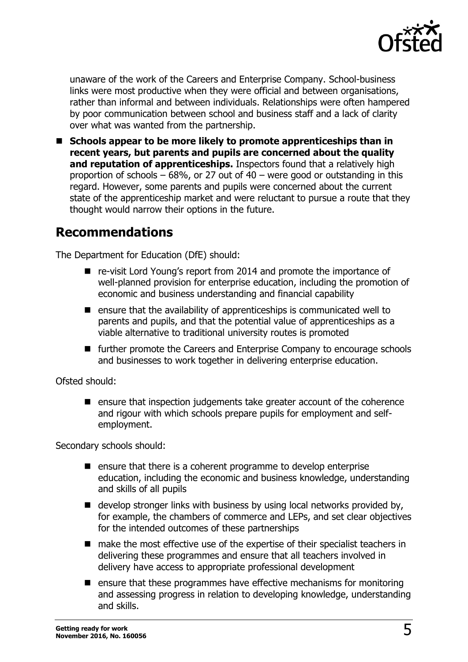

unaware of the work of the Careers and Enterprise Company. School-business links were most productive when they were official and between organisations, rather than informal and between individuals. Relationships were often hampered by poor communication between school and business staff and a lack of clarity over what was wanted from the partnership.

■ Schools appear to be more likely to promote apprenticeships than in **recent years, but parents and pupils are concerned about the quality and reputation of apprenticeships.** Inspectors found that a relatively high proportion of schools  $-68\%$ , or 27 out of 40 – were good or outstanding in this regard. However, some parents and pupils were concerned about the current state of the apprenticeship market and were reluctant to pursue a route that they thought would narrow their options in the future.

### <span id="page-4-0"></span>**Recommendations**

The Department for Education (DfE) should:

- re-visit Lord Young's report from 2014 and promote the importance of well-planned provision for enterprise education, including the promotion of economic and business understanding and financial capability
- $\blacksquare$  ensure that the availability of apprenticeships is communicated well to parents and pupils, and that the potential value of apprenticeships as a viable alternative to traditional university routes is promoted
- further promote the Careers and Enterprise Company to encourage schools and businesses to work together in delivering enterprise education.

<span id="page-4-1"></span>Ofsted should:

 $\blacksquare$  ensure that inspection judgements take greater account of the coherence and rigour with which schools prepare pupils for employment and selfemployment.

Secondary schools should:

- $\blacksquare$  ensure that there is a coherent programme to develop enterprise education, including the economic and business knowledge, understanding and skills of all pupils
- $\blacksquare$  develop stronger links with business by using local networks provided by, for example, the chambers of commerce and LEPs, and set clear objectives for the intended outcomes of these partnerships
- make the most effective use of the expertise of their specialist teachers in delivering these programmes and ensure that all teachers involved in delivery have access to appropriate professional development
- $\blacksquare$  ensure that these programmes have effective mechanisms for monitoring and assessing progress in relation to developing knowledge, understanding and skills.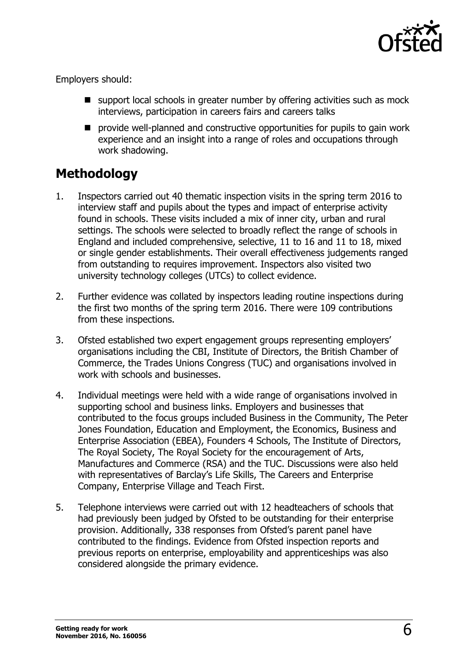

Employers should:

- support local schools in greater number by offering activities such as mock interviews, participation in careers fairs and careers talks
- **P** provide well-planned and constructive opportunities for pupils to gain work experience and an insight into a range of roles and occupations through work shadowing.

# <span id="page-5-0"></span>**Methodology**

- 1. Inspectors carried out 40 thematic inspection visits in the spring term 2016 to interview staff and pupils about the types and impact of enterprise activity found in schools. These visits included a mix of inner city, urban and rural settings. The schools were selected to broadly reflect the range of schools in England and included comprehensive, selective, 11 to 16 and 11 to 18, mixed or single gender establishments. Their overall effectiveness judgements ranged from outstanding to requires improvement. Inspectors also visited two university technology colleges (UTCs) to collect evidence.
- 2. Further evidence was collated by inspectors leading routine inspections during the first two months of the spring term 2016. There were 109 contributions from these inspections.
- 3. Ofsted established two expert engagement groups representing employers' organisations including the CBI, Institute of Directors, the British Chamber of Commerce, the Trades Unions Congress (TUC) and organisations involved in work with schools and businesses.
- 4. Individual meetings were held with a wide range of organisations involved in supporting school and business links. Employers and businesses that contributed to the focus groups included Business in the Community, The Peter Jones Foundation, Education and Employment, the Economics, Business and Enterprise Association (EBEA), Founders 4 Schools, The Institute of Directors, The Royal Society, The Royal Society for the encouragement of Arts, Manufactures and Commerce (RSA) and the TUC. Discussions were also held with representatives of Barclay's Life Skills, The Careers and Enterprise Company, Enterprise Village and Teach First.
- 5. Telephone interviews were carried out with 12 headteachers of schools that had previously been judged by Ofsted to be outstanding for their enterprise provision. Additionally, 338 responses from Ofsted's parent panel have contributed to the findings. Evidence from Ofsted inspection reports and previous reports on enterprise, employability and apprenticeships was also considered alongside the primary evidence.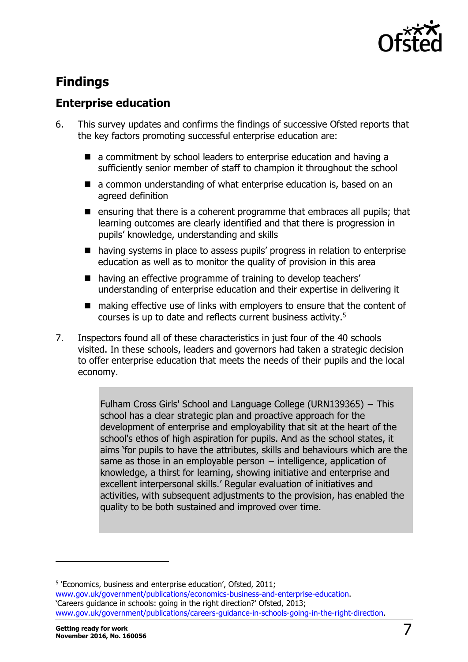

# <span id="page-6-0"></span>**Findings**

### <span id="page-6-1"></span>**Enterprise education**

- 6. This survey updates and confirms the findings of successive Ofsted reports that the key factors promoting successful enterprise education are:
	- a commitment by school leaders to enterprise education and having a sufficiently senior member of staff to champion it throughout the school
	- a common understanding of what enterprise education is, based on an agreed definition
	- **E** ensuring that there is a coherent programme that embraces all pupils; that learning outcomes are clearly identified and that there is progression in pupils' knowledge, understanding and skills
	- having systems in place to assess pupils' progress in relation to enterprise education as well as to monitor the quality of provision in this area
	- having an effective programme of training to develop teachers' understanding of enterprise education and their expertise in delivering it
	- making effective use of links with emplovers to ensure that the content of courses is up to date and reflects current business activity.<sup>5</sup>
- 7. Inspectors found all of these characteristics in just four of the 40 schools visited. In these schools, leaders and governors had taken a strategic decision to offer enterprise education that meets the needs of their pupils and the local economy.

[Fulham Cross Girls' School and Language College](https://reports.ofsted.gov.uk/inspection-reports/find-inspection-report/provider/ELS/139365) (URN139365) − This school has a clear strategic plan and proactive approach for the development of enterprise and employability that sit at the heart of the school's ethos of high aspiration for pupils. And as the school states, it aims 'for pupils to have the attributes, skills and behaviours which are the same as those in an employable person − intelligence, application of knowledge, a thirst for learning, showing initiative and enterprise and excellent interpersonal skills.' Regular evaluation of initiatives and activities, with subsequent adjustments to the provision, has enabled the quality to be both sustained and improved over time.

-

<sup>&</sup>lt;sup>5</sup> 'Economics, business and enterprise education', Ofsted, 2011; [www.gov.uk/government/publications/economics-business-and-enterprise-education.](https://www.gov.uk/government/publications/economics-business-and-enterprise-education) 'Careers guidance in schools: going in the right direction?' Ofsted, 2013; [www.gov.uk/government/publications/careers-guidance-in-schools-going-in-the-right-direction.](https://www.gov.uk/government/publications/careers-guidance-in-schools-going-in-the-right-direction)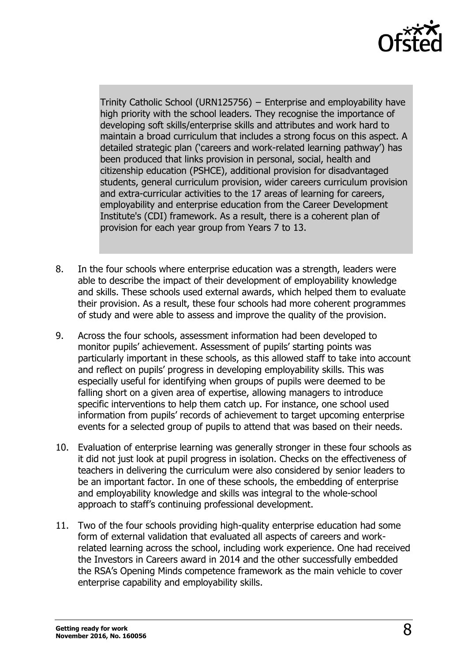

Trinity Catholic School (URN125756) − Enterprise and employability have high priority with the school leaders. They recognise the importance of developing soft skills/enterprise skills and attributes and work hard to maintain a broad curriculum that includes a strong focus on this aspect. A detailed strategic plan ('careers and work-related learning pathway') has been produced that links provision in personal, social, health and citizenship education (PSHCE), additional provision for disadvantaged students, general curriculum provision, wider careers curriculum provision and extra-curricular activities to the 17 areas of learning for careers, employability and enterprise education from the Career Development Institute's (CDI) framework. As a result, there is a coherent plan of provision for each year group from Years 7 to 13.

- 8. In the four schools where enterprise education was a strength, leaders were able to describe the impact of their development of employability knowledge and skills. These schools used external awards, which helped them to evaluate their provision. As a result, these four schools had more coherent programmes of study and were able to assess and improve the quality of the provision.
- 9. Across the four schools, assessment information had been developed to monitor pupils' achievement. Assessment of pupils' starting points was particularly important in these schools, as this allowed staff to take into account and reflect on pupils' progress in developing employability skills. This was especially useful for identifying when groups of pupils were deemed to be falling short on a given area of expertise, allowing managers to introduce specific interventions to help them catch up. For instance, one school used information from pupils' records of achievement to target upcoming enterprise events for a selected group of pupils to attend that was based on their needs.
- 10. Evaluation of enterprise learning was generally stronger in these four schools as it did not just look at pupil progress in isolation. Checks on the effectiveness of teachers in delivering the curriculum were also considered by senior leaders to be an important factor. In one of these schools, the embedding of enterprise and employability knowledge and skills was integral to the whole-school approach to staff's continuing professional development.
- 11. Two of the four schools providing high-quality enterprise education had some form of external validation that evaluated all aspects of careers and workrelated learning across the school, including work experience. One had received the Investors in Careers award in 2014 and the other successfully embedded the RSA's Opening Minds competence framework as the main vehicle to cover enterprise capability and employability skills.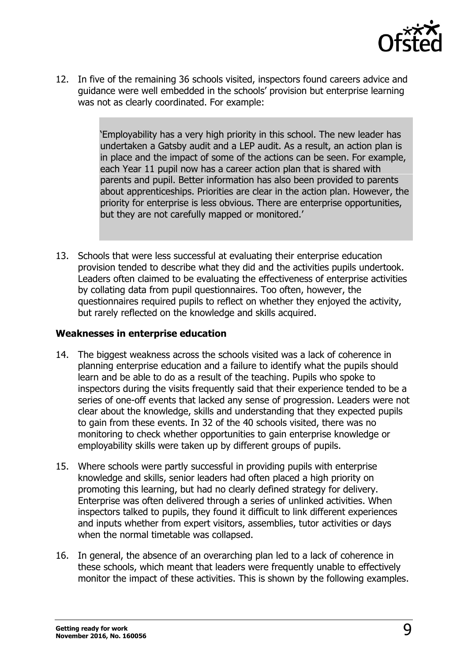

12. In five of the remaining 36 schools visited, inspectors found careers advice and guidance were well embedded in the schools' provision but enterprise learning was not as clearly coordinated. For example:

> 'Employability has a very high priority in this school. The new leader has undertaken a Gatsby audit and a LEP audit. As a result, an action plan is in place and the impact of some of the actions can be seen. For example, each Year 11 pupil now has a career action plan that is shared with parents and pupil. Better information has also been provided to parents about apprenticeships. Priorities are clear in the action plan. However, the priority for enterprise is less obvious. There are enterprise opportunities, but they are not carefully mapped or monitored.'

13. Schools that were less successful at evaluating their enterprise education provision tended to describe what they did and the activities pupils undertook. Leaders often claimed to be evaluating the effectiveness of enterprise activities by collating data from pupil questionnaires. Too often, however, the questionnaires required pupils to reflect on whether they enjoyed the activity, but rarely reflected on the knowledge and skills acquired.

#### **Weaknesses in enterprise education**

- 14. The biggest weakness across the schools visited was a lack of coherence in planning enterprise education and a failure to identify what the pupils should learn and be able to do as a result of the teaching. Pupils who spoke to inspectors during the visits frequently said that their experience tended to be a series of one-off events that lacked any sense of progression. Leaders were not clear about the knowledge, skills and understanding that they expected pupils to gain from these events. In 32 of the 40 schools visited, there was no monitoring to check whether opportunities to gain enterprise knowledge or employability skills were taken up by different groups of pupils.
- 15. Where schools were partly successful in providing pupils with enterprise knowledge and skills, senior leaders had often placed a high priority on promoting this learning, but had no clearly defined strategy for delivery. Enterprise was often delivered through a series of unlinked activities. When inspectors talked to pupils, they found it difficult to link different experiences and inputs whether from expert visitors, assemblies, tutor activities or days when the normal timetable was collapsed.
- 16. In general, the absence of an overarching plan led to a lack of coherence in these schools, which meant that leaders were frequently unable to effectively monitor the impact of these activities. This is shown by the following examples.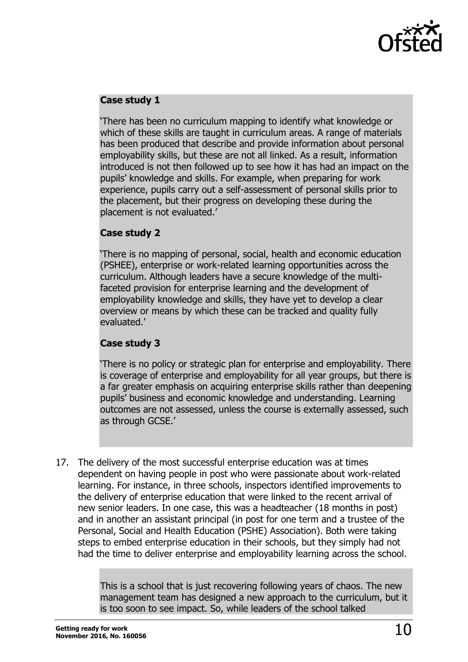

#### **Case study 1**

'There has been no curriculum mapping to identify what knowledge or which of these skills are taught in curriculum areas. A range of materials has been produced that describe and provide information about personal employability skills, but these are not all linked. As a result, information introduced is not then followed up to see how it has had an impact on the pupils' knowledge and skills. For example, when preparing for work experience, pupils carry out a self-assessment of personal skills prior to the placement, but their progress on developing these during the placement is not evaluated.'

#### **Case study 2**

'There is no mapping of personal, social, health and economic education (PSHEE), enterprise or work-related learning opportunities across the curriculum. Although leaders have a secure knowledge of the multifaceted provision for enterprise learning and the development of employability knowledge and skills, they have yet to develop a clear overview or means by which these can be tracked and quality fully evaluated.'

#### **Case study 3**

'There is no policy or strategic plan for enterprise and employability. There is coverage of enterprise and employability for all year groups, but there is a far greater emphasis on acquiring enterprise skills rather than deepening pupils' business and economic knowledge and understanding. Learning outcomes are not assessed, unless the course is externally assessed, such as through GCSE.'

17. The delivery of the most successful enterprise education was at times dependent on having people in post who were passionate about work-related learning. For instance, in three schools, inspectors identified improvements to the delivery of enterprise education that were linked to the recent arrival of new senior leaders. In one case, this was a headteacher (18 months in post) and in another an assistant principal (in post for one term and a trustee of the Personal, Social and Health Education (PSHE) Association). Both were taking steps to embed enterprise education in their schools, but they simply had not had the time to deliver enterprise and employability learning across the school.

> This is a school that is just recovering following years of chaos. The new management team has designed a new approach to the curriculum, but it is too soon to see impact. So, while leaders of the school talked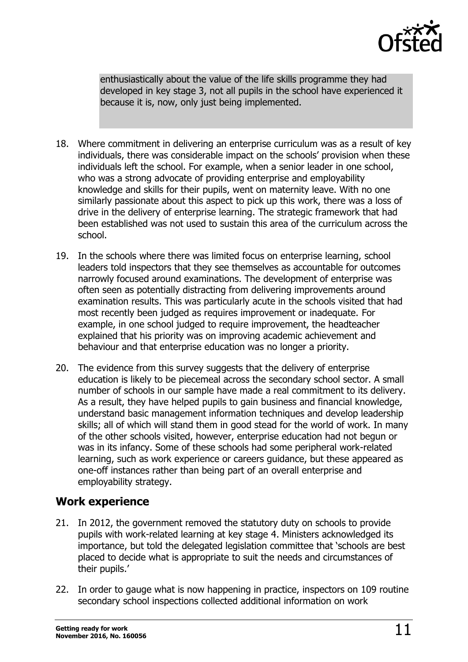

enthusiastically about the value of the life skills programme they had developed in key stage 3, not all pupils in the school have experienced it because it is, now, only just being implemented.

- 18. Where commitment in delivering an enterprise curriculum was as a result of key individuals, there was considerable impact on the schools' provision when these individuals left the school. For example, when a senior leader in one school, who was a strong advocate of providing enterprise and employability knowledge and skills for their pupils, went on maternity leave. With no one similarly passionate about this aspect to pick up this work, there was a loss of drive in the delivery of enterprise learning. The strategic framework that had been established was not used to sustain this area of the curriculum across the school.
- 19. In the schools where there was limited focus on enterprise learning, school leaders told inspectors that they see themselves as accountable for outcomes narrowly focused around examinations. The development of enterprise was often seen as potentially distracting from delivering improvements around examination results. This was particularly acute in the schools visited that had most recently been judged as requires improvement or inadequate. For example, in one school judged to require improvement, the headteacher explained that his priority was on improving academic achievement and behaviour and that enterprise education was no longer a priority.
- 20. The evidence from this survey suggests that the delivery of enterprise education is likely to be piecemeal across the secondary school sector. A small number of schools in our sample have made a real commitment to its delivery. As a result, they have helped pupils to gain business and financial knowledge, understand basic management information techniques and develop leadership skills; all of which will stand them in good stead for the world of work. In many of the other schools visited, however, enterprise education had not begun or was in its infancy. Some of these schools had some peripheral work-related learning, such as work experience or careers guidance, but these appeared as one-off instances rather than being part of an overall enterprise and employability strategy.

### <span id="page-10-0"></span>**Work experience**

- 21. In 2012, the government removed the statutory duty on schools to provide pupils with work-related learning at key stage 4. Ministers acknowledged its importance, but told the delegated legislation committee that 'schools are best placed to decide what is appropriate to suit the needs and circumstances of their pupils.'
- 22. In order to gauge what is now happening in practice, inspectors on 109 routine secondary school inspections collected additional information on work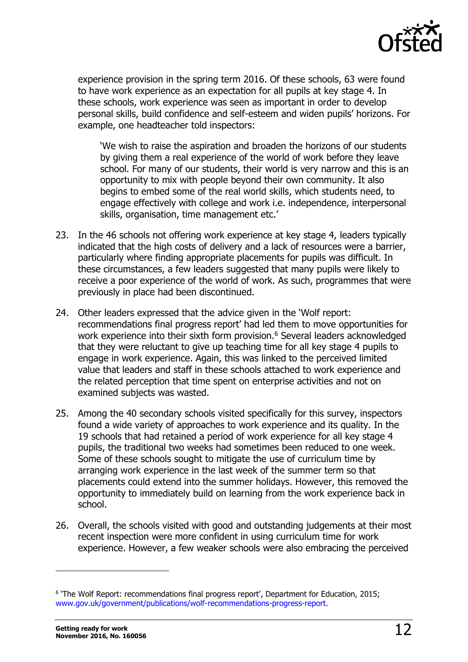

experience provision in the spring term 2016. Of these schools, 63 were found to have work experience as an expectation for all pupils at key stage 4. In these schools, work experience was seen as important in order to develop personal skills, build confidence and self-esteem and widen pupils' horizons. For example, one headteacher told inspectors:

'We wish to raise the aspiration and broaden the horizons of our students by giving them a real experience of the world of work before they leave school. For many of our students, their world is very narrow and this is an opportunity to mix with people beyond their own community. It also begins to embed some of the real world skills, which students need, to engage effectively with college and work i.e. independence, interpersonal skills, organisation, time management etc.'

- 23. In the 46 schools not offering work experience at key stage 4, leaders typically indicated that the high costs of delivery and a lack of resources were a barrier, particularly where finding appropriate placements for pupils was difficult. In these circumstances, a few leaders suggested that many pupils were likely to receive a poor experience of the world of work. As such, programmes that were previously in place had been discontinued.
- 24. Other leaders expressed that the advice given in the 'Wolf report: recommendations final progress report' had led them to move opportunities for work experience into their sixth form provision.<sup>6</sup> Several leaders acknowledged that they were reluctant to give up teaching time for all key stage 4 pupils to engage in work experience. Again, this was linked to the perceived limited value that leaders and staff in these schools attached to work experience and the related perception that time spent on enterprise activities and not on examined subjects was wasted.
- 25. Among the 40 secondary schools visited specifically for this survey, inspectors found a wide variety of approaches to work experience and its quality. In the 19 schools that had retained a period of work experience for all key stage 4 pupils, the traditional two weeks had sometimes been reduced to one week. Some of these schools sought to mitigate the use of curriculum time by arranging work experience in the last week of the summer term so that placements could extend into the summer holidays. However, this removed the opportunity to immediately build on learning from the work experience back in school.
- 26. Overall, the schools visited with good and outstanding judgements at their most recent inspection were more confident in using curriculum time for work experience. However, a few weaker schools were also embracing the perceived

-

<sup>&</sup>lt;sup>6</sup> 'The Wolf Report: recommendations final progress report', Department for Education, 2015; [www.gov.uk/government/publications/wolf-recommendations-progress-report.](https://www.gov.uk/government/publications/wolf-recommendations-progress-report)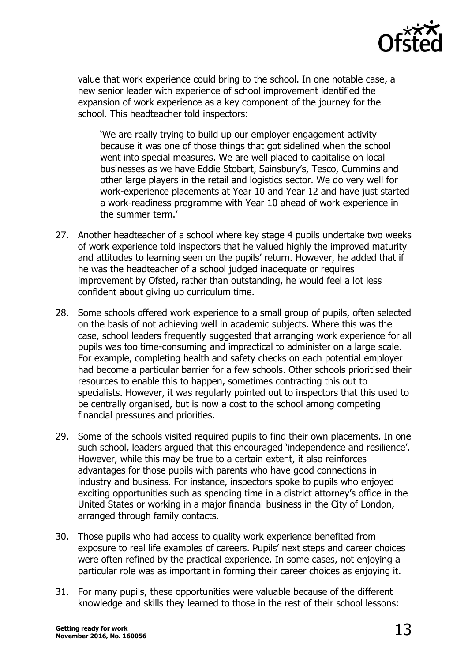

value that work experience could bring to the school. In one notable case, a new senior leader with experience of school improvement identified the expansion of work experience as a key component of the journey for the school. This headteacher told inspectors:

'We are really trying to build up our employer engagement activity because it was one of those things that got sidelined when the school went into special measures. We are well placed to capitalise on local businesses as we have Eddie Stobart, Sainsbury's, Tesco, Cummins and other large players in the retail and logistics sector. We do very well for work-experience placements at Year 10 and Year 12 and have just started a work-readiness programme with Year 10 ahead of work experience in the summer term.'

- 27. Another headteacher of a school where key stage 4 pupils undertake two weeks of work experience told inspectors that he valued highly the improved maturity and attitudes to learning seen on the pupils' return. However, he added that if he was the headteacher of a school judged inadequate or requires improvement by Ofsted, rather than outstanding, he would feel a lot less confident about giving up curriculum time.
- 28. Some schools offered work experience to a small group of pupils, often selected on the basis of not achieving well in academic subjects. Where this was the case, school leaders frequently suggested that arranging work experience for all pupils was too time-consuming and impractical to administer on a large scale. For example, completing health and safety checks on each potential employer had become a particular barrier for a few schools. Other schools prioritised their resources to enable this to happen, sometimes contracting this out to specialists. However, it was regularly pointed out to inspectors that this used to be centrally organised, but is now a cost to the school among competing financial pressures and priorities.
- 29. Some of the schools visited required pupils to find their own placements. In one such school, leaders argued that this encouraged 'independence and resilience'. However, while this may be true to a certain extent, it also reinforces advantages for those pupils with parents who have good connections in industry and business. For instance, inspectors spoke to pupils who enjoyed exciting opportunities such as spending time in a district attorney's office in the United States or working in a major financial business in the City of London, arranged through family contacts.
- 30. Those pupils who had access to quality work experience benefited from exposure to real life examples of careers. Pupils' next steps and career choices were often refined by the practical experience. In some cases, not enjoying a particular role was as important in forming their career choices as enjoying it.
- 31. For many pupils, these opportunities were valuable because of the different knowledge and skills they learned to those in the rest of their school lessons: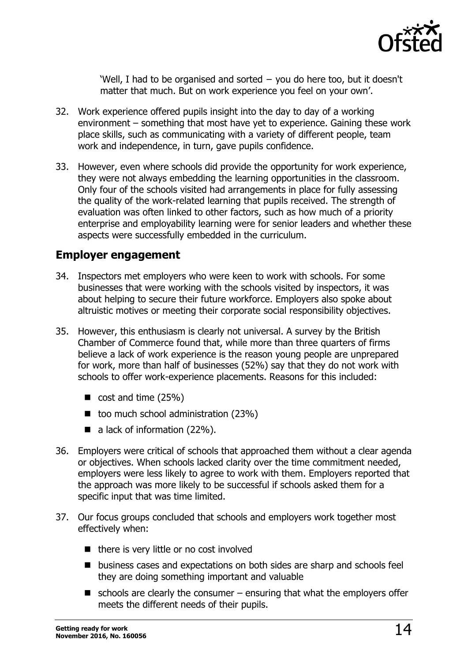

'Well, I had to be organised and sorted − you do here too, but it doesn't matter that much. But on work experience you feel on your own'.

- 32. Work experience offered pupils insight into the day to day of a working environment – something that most have yet to experience. Gaining these work place skills, such as communicating with a variety of different people, team work and independence, in turn, gave pupils confidence.
- 33. However, even where schools did provide the opportunity for work experience, they were not always embedding the learning opportunities in the classroom. Only four of the schools visited had arrangements in place for fully assessing the quality of the work-related learning that pupils received. The strength of evaluation was often linked to other factors, such as how much of a priority enterprise and employability learning were for senior leaders and whether these aspects were successfully embedded in the curriculum.

#### <span id="page-13-0"></span>**Employer engagement**

- 34. Inspectors met employers who were keen to work with schools. For some businesses that were working with the schools visited by inspectors, it was about helping to secure their future workforce. Employers also spoke about altruistic motives or meeting their corporate social responsibility objectives.
- 35. However, this enthusiasm is clearly not universal. A survey by the British Chamber of Commerce found that, while more than three quarters of firms believe a lack of work experience is the reason young people are unprepared for work, more than half of businesses (52%) say that they do not work with schools to offer work-experience placements. Reasons for this included:
	- $\Box$  cost and time (25%)
	- $\blacksquare$  too much school administration (23%)
	- $\blacksquare$  a lack of information (22%).
- 36. Employers were critical of schools that approached them without a clear agenda or objectives. When schools lacked clarity over the time commitment needed, employers were less likely to agree to work with them. Employers reported that the approach was more likely to be successful if schools asked them for a specific input that was time limited.
- 37. Our focus groups concluded that schools and employers work together most effectively when:
	- there is very little or no cost involved
	- **D** business cases and expectations on both sides are sharp and schools feel they are doing something important and valuable
	- $\blacksquare$  schools are clearly the consumer ensuring that what the employers offer meets the different needs of their pupils.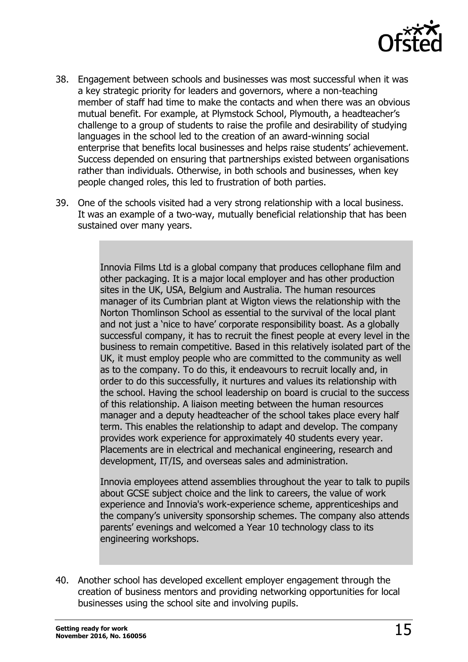

- 38. Engagement between schools and businesses was most successful when it was a key strategic priority for leaders and governors, where a non-teaching member of staff had time to make the contacts and when there was an obvious mutual benefit. For example, at Plymstock School, Plymouth, a headteacher's challenge to a group of students to raise the profile and desirability of studying languages in the school led to the creation of an award-winning social enterprise that benefits local businesses and helps raise students' achievement. Success depended on ensuring that partnerships existed between organisations rather than individuals. Otherwise, in both schools and businesses, when key people changed roles, this led to frustration of both parties.
- 39. One of the schools visited had a very strong relationship with a local business. It was an example of a two-way, mutually beneficial relationship that has been sustained over many years.

Innovia Films Ltd is a global company that produces cellophane film and other packaging. It is a major local employer and has other production sites in the UK, USA, Belgium and Australia. The human resources manager of its Cumbrian plant at Wigton views the relationship with the Norton Thomlinson School as essential to the survival of the local plant and not just a 'nice to have' corporate responsibility boast. As a globally successful company, it has to recruit the finest people at every level in the business to remain competitive. Based in this relatively isolated part of the UK, it must employ people who are committed to the community as well as to the company. To do this, it endeavours to recruit locally and, in order to do this successfully, it nurtures and values its relationship with the school. Having the school leadership on board is crucial to the success of this relationship. A liaison meeting between the human resources manager and a deputy headteacher of the school takes place every half term. This enables the relationship to adapt and develop. The company provides work experience for approximately 40 students every year. Placements are in electrical and mechanical engineering, research and development, IT/IS, and overseas sales and administration.

Innovia employees attend assemblies throughout the year to talk to pupils about GCSE subject choice and the link to careers, the value of work experience and Innovia's work-experience scheme, apprenticeships and the company's university sponsorship schemes. The company also attends parents' evenings and welcomed a Year 10 technology class to its engineering workshops.

40. Another school has developed excellent employer engagement through the creation of business mentors and providing networking opportunities for local businesses using the school site and involving pupils.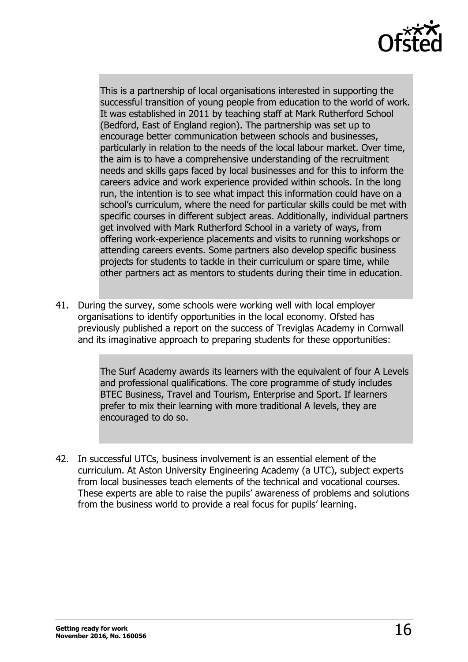

This is a partnership of local organisations interested in supporting the successful transition of young people from education to the world of work. It was established in 2011 by teaching staff at Mark Rutherford School (Bedford, East of England region). The partnership was set up to encourage better communication between schools and businesses, particularly in relation to the needs of the local labour market. Over time, the aim is to have a comprehensive understanding of the recruitment needs and skills gaps faced by local businesses and for this to inform the careers advice and work experience provided within schools. In the long run, the intention is to see what impact this information could have on a school's curriculum, where the need for particular skills could be met with specific courses in different subject areas. Additionally, individual partners get involved with Mark Rutherford School in a variety of ways, from offering work-experience placements and visits to running workshops or attending careers events. Some partners also develop specific business projects for students to tackle in their curriculum or spare time, while other partners act as mentors to students during their time in education.

41. During the survey, some schools were working well with local employer organisations to identify opportunities in the local economy. Ofsted has previously published a report on the success of Treviglas Academy in Cornwall and its imaginative approach to preparing students for these opportunities:

> The Surf Academy awards its learners with the equivalent of four A Levels and professional qualifications. The core programme of study includes BTEC Business, Travel and Tourism, Enterprise and Sport. If learners prefer to mix their learning with more traditional A levels, they are encouraged to do so.

42. In successful UTCs, business involvement is an essential element of the curriculum. At Aston University Engineering Academy (a UTC), subject experts from local businesses teach elements of the technical and vocational courses. These experts are able to raise the pupils' awareness of problems and solutions from the business world to provide a real focus for pupils' learning.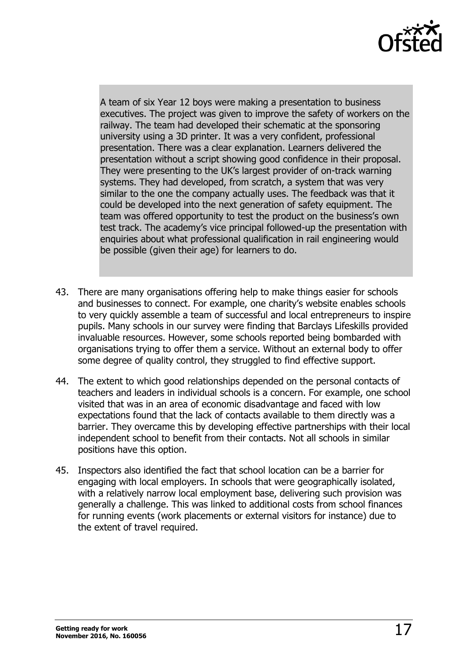

A team of six Year 12 boys were making a presentation to business executives. The project was given to improve the safety of workers on the railway. The team had developed their schematic at the sponsoring university using a 3D printer. It was a very confident, professional presentation. There was a clear explanation. Learners delivered the presentation without a script showing good confidence in their proposal. They were presenting to the UK's largest provider of on-track warning systems. They had developed, from scratch, a system that was very similar to the one the company actually uses. The feedback was that it could be developed into the next generation of safety equipment. The team was offered opportunity to test the product on the business's own test track. The academy's vice principal followed-up the presentation with enquiries about what professional qualification in rail engineering would be possible (given their age) for learners to do.

- 43. There are many organisations offering help to make things easier for schools and businesses to connect. For example, one charity's website enables schools to very quickly assemble a team of successful and local entrepreneurs to inspire pupils. Many schools in our survey were finding that Barclays Lifeskills provided invaluable resources. However, some schools reported being bombarded with organisations trying to offer them a service. Without an external body to offer some degree of quality control, they struggled to find effective support.
- 44. The extent to which good relationships depended on the personal contacts of teachers and leaders in individual schools is a concern. For example, one school visited that was in an area of economic disadvantage and faced with low expectations found that the lack of contacts available to them directly was a barrier. They overcame this by developing effective partnerships with their local independent school to benefit from their contacts. Not all schools in similar positions have this option.
- 45. Inspectors also identified the fact that school location can be a barrier for engaging with local employers. In schools that were geographically isolated, with a relatively narrow local employment base, delivering such provision was generally a challenge. This was linked to additional costs from school finances for running events (work placements or external visitors for instance) due to the extent of travel required.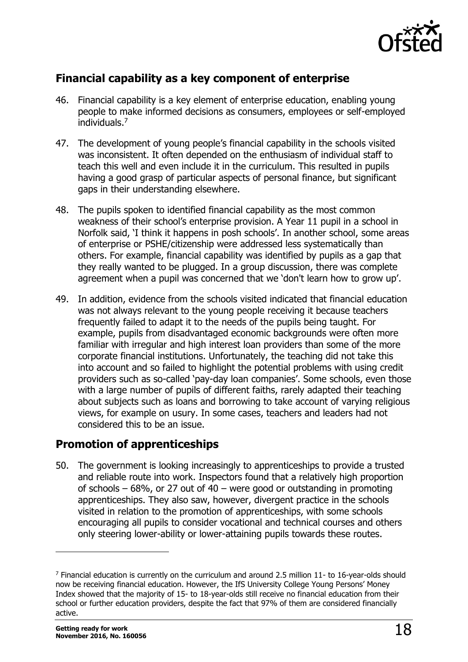

### <span id="page-17-0"></span>**Financial capability as a key component of enterprise**

- 46. Financial capability is a key element of enterprise education, enabling young people to make informed decisions as consumers, employees or self-employed individuals.<sup>7</sup>
- 47. The development of young people's financial capability in the schools visited was inconsistent. It often depended on the enthusiasm of individual staff to teach this well and even include it in the curriculum. This resulted in pupils having a good grasp of particular aspects of personal finance, but significant gaps in their understanding elsewhere.
- 48. The pupils spoken to identified financial capability as the most common weakness of their school's enterprise provision. A Year 11 pupil in a school in Norfolk said, 'I think it happens in posh schools'. In another school, some areas of enterprise or PSHE/citizenship were addressed less systematically than others. For example, financial capability was identified by pupils as a gap that they really wanted to be plugged. In a group discussion, there was complete agreement when a pupil was concerned that we 'don't learn how to grow up'.
- 49. In addition, evidence from the schools visited indicated that financial education was not always relevant to the young people receiving it because teachers frequently failed to adapt it to the needs of the pupils being taught. For example, pupils from disadvantaged economic backgrounds were often more familiar with irregular and high interest loan providers than some of the more corporate financial institutions. Unfortunately, the teaching did not take this into account and so failed to highlight the potential problems with using credit providers such as so-called 'pay-day loan companies'. Some schools, even those with a large number of pupils of different faiths, rarely adapted their teaching about subjects such as loans and borrowing to take account of varying religious views, for example on usury. In some cases, teachers and leaders had not considered this to be an issue.

### <span id="page-17-1"></span>**Promotion of apprenticeships**

50. The government is looking increasingly to apprenticeships to provide a trusted and reliable route into work. Inspectors found that a relatively high proportion of schools – 68%, or 27 out of 40 – were good or outstanding in promoting apprenticeships. They also saw, however, divergent practice in the schools visited in relation to the promotion of apprenticeships, with some schools encouraging all pupils to consider vocational and technical courses and others only steering lower-ability or lower-attaining pupils towards these routes.

 $\overline{a}$ 

 $<sup>7</sup>$  Financial education is currently on the curriculum and around 2.5 million 11- to 16-year-olds should</sup> now be receiving financial education. However, the IfS University College Young Persons' Money Index showed that the majority of 15- to 18-year-olds still receive no financial education from their school or further education providers, despite the fact that 97% of them are considered financially active.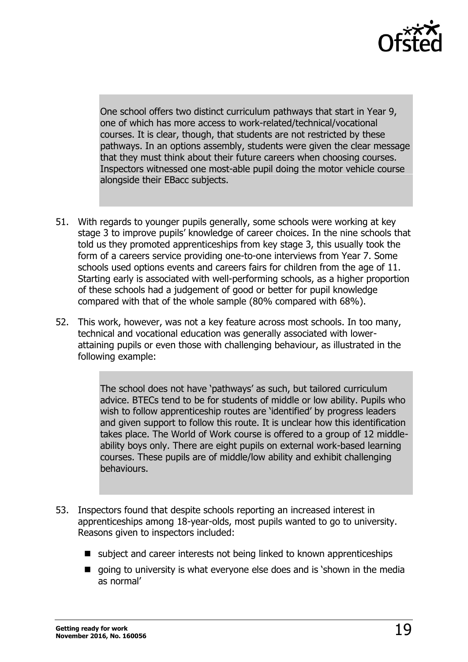

One school offers two distinct curriculum pathways that start in Year 9, one of which has more access to work-related/technical/vocational courses. It is clear, though, that students are not restricted by these pathways. In an options assembly, students were given the clear message that they must think about their future careers when choosing courses. Inspectors witnessed one most-able pupil doing the motor vehicle course alongside their EBacc subjects.

- 51. With regards to younger pupils generally, some schools were working at key stage 3 to improve pupils' knowledge of career choices. In the nine schools that told us they promoted apprenticeships from key stage 3, this usually took the form of a careers service providing one-to-one interviews from Year 7. Some schools used options events and careers fairs for children from the age of 11. Starting early is associated with well-performing schools, as a higher proportion of these schools had a judgement of good or better for pupil knowledge compared with that of the whole sample (80% compared with 68%).
- 52. This work, however, was not a key feature across most schools. In too many, technical and vocational education was generally associated with lowerattaining pupils or even those with challenging behaviour, as illustrated in the following example:

The school does not have 'pathways' as such, but tailored curriculum advice. BTECs tend to be for students of middle or low ability. Pupils who wish to follow apprenticeship routes are 'identified' by progress leaders and given support to follow this route. It is unclear how this identification takes place. The World of Work course is offered to a group of 12 middleability boys only. There are eight pupils on external work-based learning courses. These pupils are of middle/low ability and exhibit challenging behaviours.

- 53. Inspectors found that despite schools reporting an increased interest in apprenticeships among 18-year-olds, most pupils wanted to go to university. Reasons given to inspectors included:
	- subject and career interests not being linked to known apprenticeships
	- qoing to university is what everyone else does and is 'shown in the media as normal'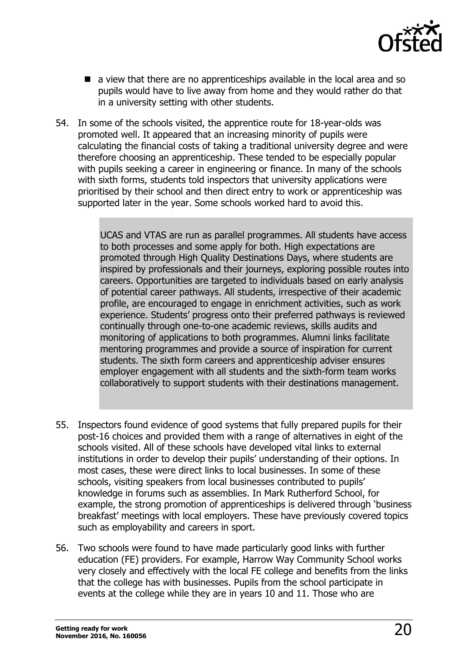

- a view that there are no apprenticeships available in the local area and so pupils would have to live away from home and they would rather do that in a university setting with other students.
- 54. In some of the schools visited, the apprentice route for 18-year-olds was promoted well. It appeared that an increasing minority of pupils were calculating the financial costs of taking a traditional university degree and were therefore choosing an apprenticeship. These tended to be especially popular with pupils seeking a career in engineering or finance. In many of the schools with sixth forms, students told inspectors that university applications were prioritised by their school and then direct entry to work or apprenticeship was supported later in the year. Some schools worked hard to avoid this.

UCAS and VTAS are run as parallel programmes. All students have access to both processes and some apply for both. High expectations are promoted through High Quality Destinations Days, where students are inspired by professionals and their journeys, exploring possible routes into careers. Opportunities are targeted to individuals based on early analysis of potential career pathways. All students, irrespective of their academic profile, are encouraged to engage in enrichment activities, such as work experience. Students' progress onto their preferred pathways is reviewed continually through one-to-one academic reviews, skills audits and monitoring of applications to both programmes. Alumni links facilitate mentoring programmes and provide a source of inspiration for current students. The sixth form careers and apprenticeship adviser ensures employer engagement with all students and the sixth-form team works collaboratively to support students with their destinations management.

- 55. Inspectors found evidence of good systems that fully prepared pupils for their post-16 choices and provided them with a range of alternatives in eight of the schools visited. All of these schools have developed vital links to external institutions in order to develop their pupils' understanding of their options. In most cases, these were direct links to local businesses. In some of these schools, visiting speakers from local businesses contributed to pupils' knowledge in forums such as assemblies. In Mark Rutherford School, for example, the strong promotion of apprenticeships is delivered through 'business breakfast' meetings with local employers. These have previously covered topics such as employability and careers in sport.
- 56. Two schools were found to have made particularly good links with further education (FE) providers. For example, Harrow Way Community School works very closely and effectively with the local FE college and benefits from the links that the college has with businesses. Pupils from the school participate in events at the college while they are in years 10 and 11. Those who are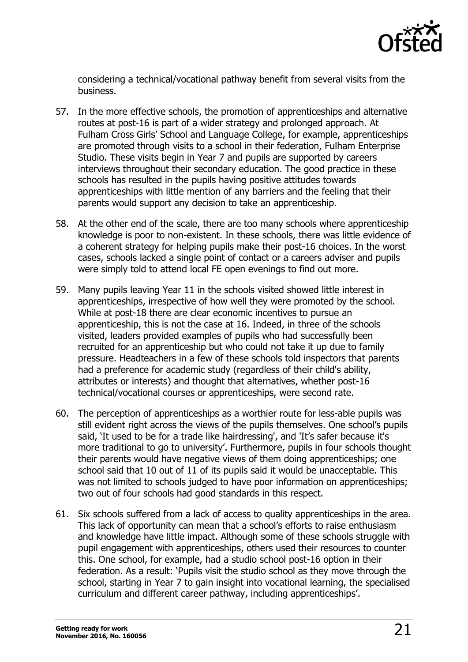

considering a technical/vocational pathway benefit from several visits from the business.

- 57. In the more effective schools, the promotion of apprenticeships and alternative routes at post-16 is part of a wider strategy and prolonged approach. At Fulham Cross Girls' School and Language College, for example, apprenticeships are promoted through visits to a school in their federation, Fulham Enterprise Studio. These visits begin in Year 7 and pupils are supported by careers interviews throughout their secondary education. The good practice in these schools has resulted in the pupils having positive attitudes towards apprenticeships with little mention of any barriers and the feeling that their parents would support any decision to take an apprenticeship.
- 58. At the other end of the scale, there are too many schools where apprenticeship knowledge is poor to non-existent. In these schools, there was little evidence of a coherent strategy for helping pupils make their post-16 choices. In the worst cases, schools lacked a single point of contact or a careers adviser and pupils were simply told to attend local FE open evenings to find out more.
- 59. Many pupils leaving Year 11 in the schools visited showed little interest in apprenticeships, irrespective of how well they were promoted by the school. While at post-18 there are clear economic incentives to pursue an apprenticeship, this is not the case at 16. Indeed, in three of the schools visited, leaders provided examples of pupils who had successfully been recruited for an apprenticeship but who could not take it up due to family pressure. Headteachers in a few of these schools told inspectors that parents had a preference for academic study (regardless of their child's ability, attributes or interests) and thought that alternatives, whether post-16 technical/vocational courses or apprenticeships, were second rate.
- 60. The perception of apprenticeships as a worthier route for less-able pupils was still evident right across the views of the pupils themselves. One school's pupils said, 'It used to be for a trade like hairdressing', and 'It's safer because it's more traditional to go to university'. Furthermore, pupils in four schools thought their parents would have negative views of them doing apprenticeships; one school said that 10 out of 11 of its pupils said it would be unacceptable. This was not limited to schools judged to have poor information on apprenticeships; two out of four schools had good standards in this respect.
- 61. Six schools suffered from a lack of access to quality apprenticeships in the area. This lack of opportunity can mean that a school's efforts to raise enthusiasm and knowledge have little impact. Although some of these schools struggle with pupil engagement with apprenticeships, others used their resources to counter this. One school, for example, had a studio school post-16 option in their federation. As a result: 'Pupils visit the studio school as they move through the school, starting in Year 7 to gain insight into vocational learning, the specialised curriculum and different career pathway, including apprenticeships'.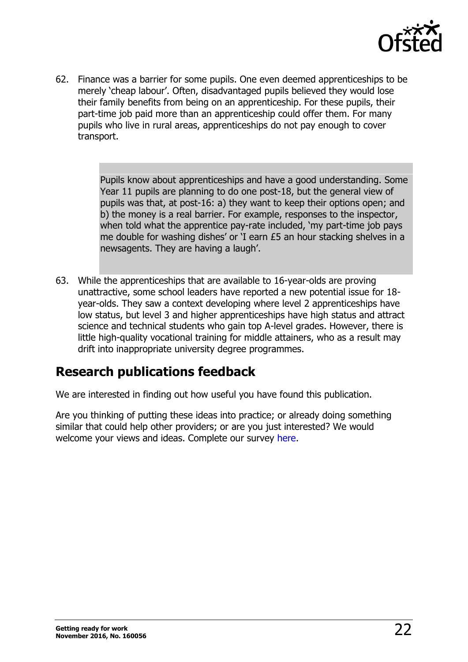

62. Finance was a barrier for some pupils. One even deemed apprenticeships to be merely 'cheap labour'. Often, disadvantaged pupils believed they would lose their family benefits from being on an apprenticeship. For these pupils, their part-time job paid more than an apprenticeship could offer them. For many pupils who live in rural areas, apprenticeships do not pay enough to cover transport.

> Pupils know about apprenticeships and have a good understanding. Some Year 11 pupils are planning to do one post-18, but the general view of pupils was that, at post-16: a) they want to keep their options open; and b) the money is a real barrier. For example, responses to the inspector, when told what the apprentice pay-rate included, 'my part-time job pays me double for washing dishes' or 'I earn £5 an hour stacking shelves in a newsagents. They are having a laugh'.

63. While the apprenticeships that are available to 16-year-olds are proving unattractive, some school leaders have reported a new potential issue for 18 year-olds. They saw a context developing where level 2 apprenticeships have low status, but level 3 and higher apprenticeships have high status and attract science and technical students who gain top A-level grades. However, there is little high-quality vocational training for middle attainers, who as a result may drift into inappropriate university degree programmes.

### <span id="page-21-0"></span>**Research publications feedback**

We are interested in finding out how useful you have found this publication.

Are you thinking of putting these ideas into practice; or already doing something similar that could help other providers; or are you just interested? We would welcome your views and ideas. Complete our survey [here.](https://www.surveymonkey.com/r/researchpublications)